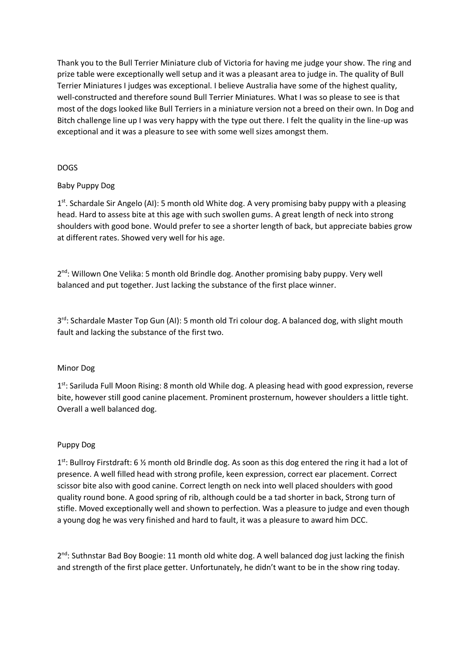Thank you to the Bull Terrier Miniature club of Victoria for having me judge your show. The ring and prize table were exceptionally well setup and it was a pleasant area to judge in. The quality of Bull Terrier Miniatures I judges was exceptional. I believe Australia have some of the highest quality, well-constructed and therefore sound Bull Terrier Miniatures. What I was so please to see is that most of the dogs looked like Bull Terriers in a miniature version not a breed on their own. In Dog and Bitch challenge line up I was very happy with the type out there. I felt the quality in the line-up was exceptional and it was a pleasure to see with some well sizes amongst them.

## DOGS

# Baby Puppy Dog

1<sup>st</sup>. Schardale Sir Angelo (AI): 5 month old White dog. A very promising baby puppy with a pleasing head. Hard to assess bite at this age with such swollen gums. A great length of neck into strong shoulders with good bone. Would prefer to see a shorter length of back, but appreciate babies grow at different rates. Showed very well for his age.

2<sup>nd</sup>: Willown One Velika: 5 month old Brindle dog. Another promising baby puppy. Very well balanced and put together. Just lacking the substance of the first place winner.

3<sup>rd</sup>: Schardale Master Top Gun (AI): 5 month old Tri colour dog. A balanced dog, with slight mouth fault and lacking the substance of the first two.

# Minor Dog

1<sup>st</sup>: Sariluda Full Moon Rising: 8 month old While dog. A pleasing head with good expression, reverse bite, however still good canine placement. Prominent prosternum, however shoulders a little tight. Overall a well balanced dog.

#### Puppy Dog

1<sup>st</sup>: Bullroy Firstdraft: 6 % month old Brindle dog. As soon as this dog entered the ring it had a lot of presence. A well filled head with strong profile, keen expression, correct ear placement. Correct scissor bite also with good canine. Correct length on neck into well placed shoulders with good quality round bone. A good spring of rib, although could be a tad shorter in back, Strong turn of stifle. Moved exceptionally well and shown to perfection. Was a pleasure to judge and even though a young dog he was very finished and hard to fault, it was a pleasure to award him DCC.

2<sup>nd</sup>: Suthnstar Bad Boy Boogie: 11 month old white dog. A well balanced dog just lacking the finish and strength of the first place getter. Unfortunately, he didn't want to be in the show ring today.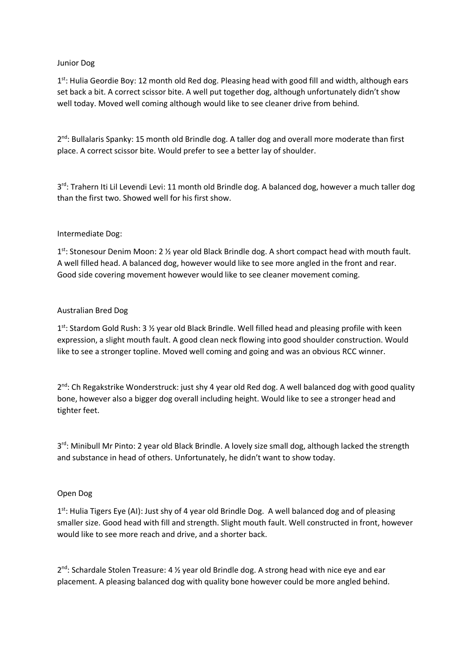## Junior Dog

1<sup>st</sup>: Hulia Geordie Boy: 12 month old Red dog. Pleasing head with good fill and width, although ears set back a bit. A correct scissor bite. A well put together dog, although unfortunately didn't show well today. Moved well coming although would like to see cleaner drive from behind.

2<sup>nd</sup>: Bullalaris Spanky: 15 month old Brindle dog. A taller dog and overall more moderate than first place. A correct scissor bite. Would prefer to see a better lay of shoulder.

3<sup>rd</sup>: Trahern Iti Lil Levendi Levi: 11 month old Brindle dog. A balanced dog, however a much taller dog than the first two. Showed well for his first show.

## Intermediate Dog:

1<sup>st</sup>: Stonesour Denim Moon: 2 1/<sub>2</sub> year old Black Brindle dog. A short compact head with mouth fault. A well filled head. A balanced dog, however would like to see more angled in the front and rear. Good side covering movement however would like to see cleaner movement coming.

## Australian Bred Dog

1<sup>st</sup>: Stardom Gold Rush: 3 <sup>1</sup>/<sub>2</sub> year old Black Brindle. Well filled head and pleasing profile with keen expression, a slight mouth fault. A good clean neck flowing into good shoulder construction. Would like to see a stronger topline. Moved well coming and going and was an obvious RCC winner.

2<sup>nd</sup>: Ch Regakstrike Wonderstruck: just shy 4 year old Red dog. A well balanced dog with good quality bone, however also a bigger dog overall including height. Would like to see a stronger head and tighter feet.

3<sup>rd</sup>: Minibull Mr Pinto: 2 year old Black Brindle. A lovely size small dog, although lacked the strength and substance in head of others. Unfortunately, he didn't want to show today.

# Open Dog

1<sup>st</sup>: Hulia Tigers Eye (AI): Just shy of 4 year old Brindle Dog. A well balanced dog and of pleasing smaller size. Good head with fill and strength. Slight mouth fault. Well constructed in front, however would like to see more reach and drive, and a shorter back.

2<sup>nd</sup>: Schardale Stolen Treasure: 4 1/2 year old Brindle dog. A strong head with nice eye and ear placement. A pleasing balanced dog with quality bone however could be more angled behind.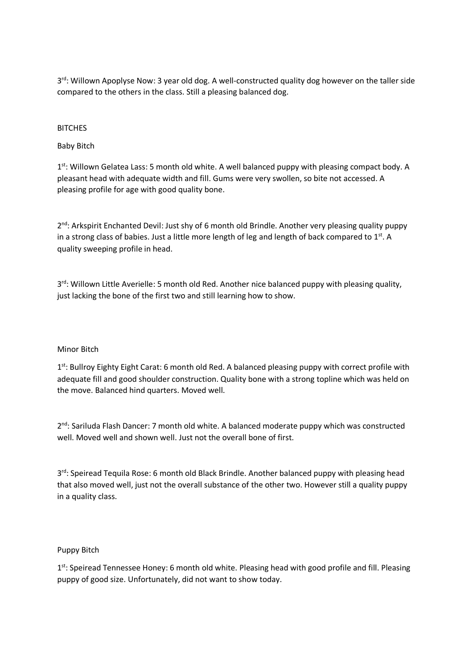3<sup>rd</sup>: Willown Apoplyse Now: 3 year old dog. A well-constructed quality dog however on the taller side compared to the others in the class. Still a pleasing balanced dog.

## **BITCHES**

## Baby Bitch

1<sup>st</sup>: Willown Gelatea Lass: 5 month old white. A well balanced puppy with pleasing compact body. A pleasant head with adequate width and fill. Gums were very swollen, so bite not accessed. A pleasing profile for age with good quality bone.

2<sup>nd</sup>: Arkspirit Enchanted Devil: Just shy of 6 month old Brindle. Another very pleasing quality puppy in a strong class of babies. Just a little more length of leg and length of back compared to 1st. A quality sweeping profile in head.

3<sup>rd</sup>: Willown Little Averielle: 5 month old Red. Another nice balanced puppy with pleasing quality, just lacking the bone of the first two and still learning how to show.

#### Minor Bitch

1<sup>st</sup>: Bullroy Eighty Eight Carat: 6 month old Red. A balanced pleasing puppy with correct profile with adequate fill and good shoulder construction. Quality bone with a strong topline which was held on the move. Balanced hind quarters. Moved well.

2<sup>nd</sup>: Sariluda Flash Dancer: 7 month old white. A balanced moderate puppy which was constructed well. Moved well and shown well. Just not the overall bone of first.

3<sup>rd</sup>: Speiread Tequila Rose: 6 month old Black Brindle. Another balanced puppy with pleasing head that also moved well, just not the overall substance of the other two. However still a quality puppy in a quality class.

#### Puppy Bitch

1<sup>st</sup>: Speiread Tennessee Honey: 6 month old white. Pleasing head with good profile and fill. Pleasing puppy of good size. Unfortunately, did not want to show today.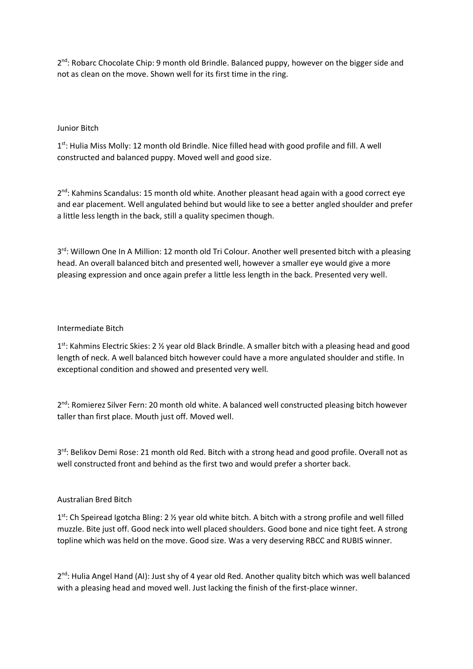2<sup>nd</sup>: Robarc Chocolate Chip: 9 month old Brindle. Balanced puppy, however on the bigger side and not as clean on the move. Shown well for its first time in the ring.

## Junior Bitch

1<sup>st</sup>: Hulia Miss Molly: 12 month old Brindle. Nice filled head with good profile and fill. A well constructed and balanced puppy. Moved well and good size.

2<sup>nd</sup>: Kahmins Scandalus: 15 month old white. Another pleasant head again with a good correct eye and ear placement. Well angulated behind but would like to see a better angled shoulder and prefer a little less length in the back, still a quality specimen though.

3<sup>rd</sup>: Willown One In A Million: 12 month old Tri Colour. Another well presented bitch with a pleasing head. An overall balanced bitch and presented well, however a smaller eye would give a more pleasing expression and once again prefer a little less length in the back. Presented very well.

#### Intermediate Bitch

1<sup>st</sup>: Kahmins Electric Skies: 2 ½ year old Black Brindle. A smaller bitch with a pleasing head and good length of neck. A well balanced bitch however could have a more angulated shoulder and stifle. In exceptional condition and showed and presented very well.

2<sup>nd</sup>: Romierez Silver Fern: 20 month old white. A balanced well constructed pleasing bitch however taller than first place. Mouth just off. Moved well.

3<sup>rd</sup>: Belikov Demi Rose: 21 month old Red. Bitch with a strong head and good profile. Overall not as well constructed front and behind as the first two and would prefer a shorter back.

#### Australian Bred Bitch

1<sup>st</sup>: Ch Speiread Igotcha Bling: 2 <sup>1</sup>/<sub>2</sub> year old white bitch. A bitch with a strong profile and well filled muzzle. Bite just off. Good neck into well placed shoulders. Good bone and nice tight feet. A strong topline which was held on the move. Good size. Was a very deserving RBCC and RUBIS winner.

2<sup>nd</sup>: Hulia Angel Hand (AI): Just shy of 4 year old Red. Another quality bitch which was well balanced with a pleasing head and moved well. Just lacking the finish of the first-place winner.